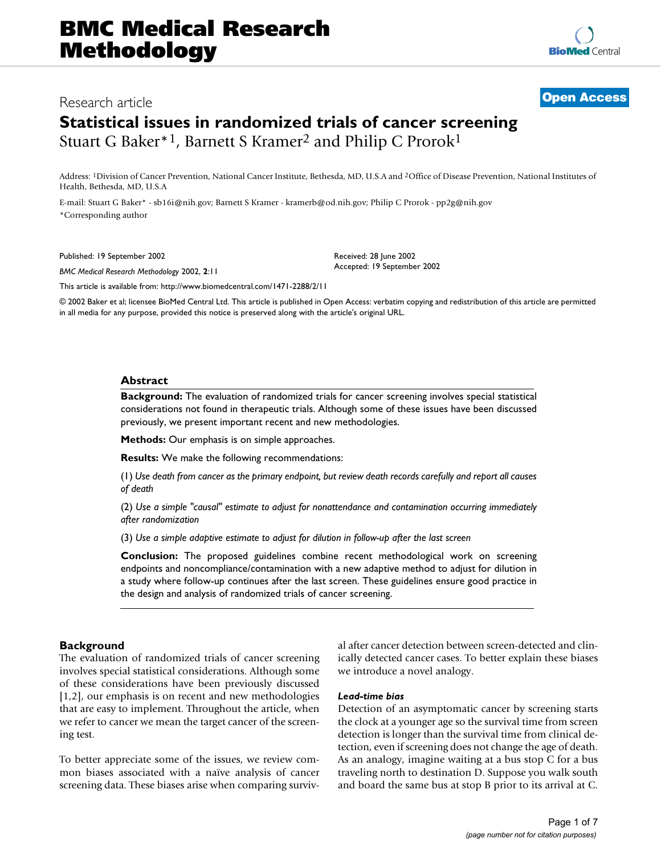## BMC Mesearch article **Contract Research Access** Research article 2002, 2 x  $\sigma$  **[Open Access](http://www.biomedcentral.com/info/about/charter/)** Research article

# **Statistical issues in randomized trials of cancer screening** Stuart G Baker<sup>\*1</sup>, Barnett S Kramer<sup>2</sup> and Philip C Prorok<sup>1</sup>

Address: 1Division of Cancer Prevention, National Cancer Institute, Bethesda, MD, U.S.A and 2Office of Disease Prevention, National Institutes of Health, Bethesda, MD, U.S.A

E-mail: Stuart G Baker\* - sb16i@nih.gov; Barnett S Kramer - kramerb@od.nih.gov; Philip C Prorok - pp2g@nih.gov \*Corresponding author

Published: 19 September 2002

*BMC Medical Research Methodology* 2002, **2**:11

Received: 28 June 2002 Accepted: 19 September 2002

[This article is available from: http://www.biomedcentral.com/1471-2288/2/11](http://www.biomedcentral.com/1471-2288/2/11)

© 2002 Baker et al; licensee BioMed Central Ltd. This article is published in Open Access: verbatim copying and redistribution of this article are permitted in all media for any purpose, provided this notice is preserved along with the article's original URL.

#### **Abstract**

**Background:** The evaluation of randomized trials for cancer screening involves special statistical considerations not found in therapeutic trials. Although some of these issues have been discussed previously, we present important recent and new methodologies.

**Methods:** Our emphasis is on simple approaches.

**Results:** We make the following recommendations:

(1) *Use death from cancer as the primary endpoint, but review death records carefully and report all causes of death*

(2) *Use a simple "causal" estimate to adjust for nonattendance and contamination occurring immediately after randomization*

(3) *Use a simple adaptive estimate to adjust for dilution in follow-up after the last screen*

**Conclusion:** The proposed guidelines combine recent methodological work on screening endpoints and noncompliance/contamination with a new adaptive method to adjust for dilution in a study where follow-up continues after the last screen. These guidelines ensure good practice in the design and analysis of randomized trials of cancer screening.

#### **Background**

The evaluation of randomized trials of cancer screening involves special statistical considerations. Although some of these considerations have been previously discussed [1,2], our emphasis is on recent and new methodologies that are easy to implement. Throughout the article, when we refer to cancer we mean the target cancer of the screening test.

To better appreciate some of the issues, we review common biases associated with a naïve analysis of cancer screening data. These biases arise when comparing survival after cancer detection between screen-detected and clinically detected cancer cases. To better explain these biases we introduce a novel analogy.

#### *Lead-time bias*

Detection of an asymptomatic cancer by screening starts the clock at a younger age so the survival time from screen detection is longer than the survival time from clinical detection, even if screening does not change the age of death. As an analogy, imagine waiting at a bus stop C for a bus traveling north to destination D. Suppose you walk south and board the same bus at stop B prior to its arrival at C.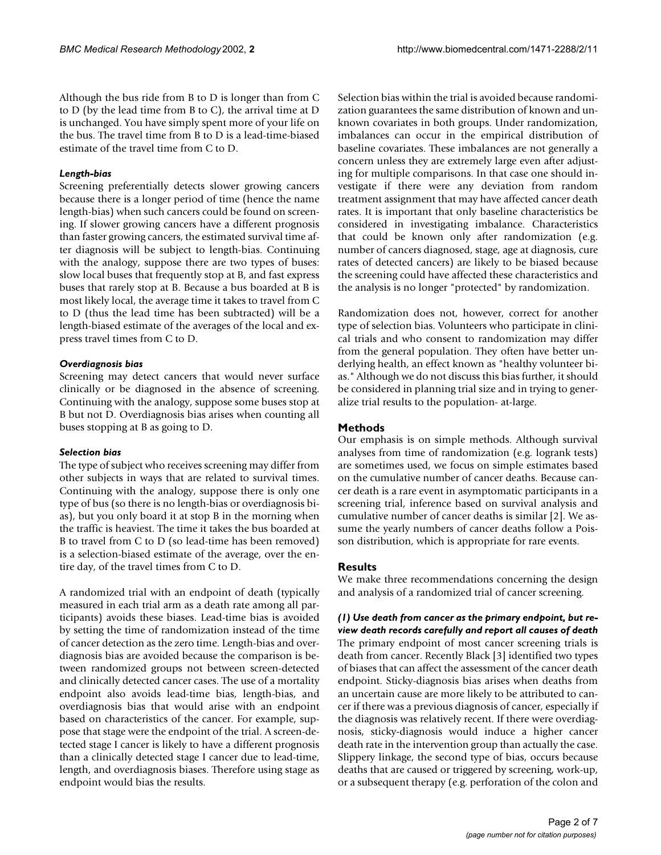Although the bus ride from B to D is longer than from C to D (by the lead time from B to C), the arrival time at D is unchanged. You have simply spent more of your life on the bus. The travel time from B to D is a lead-time-biased estimate of the travel time from C to D.

## *Length-bias*

Screening preferentially detects slower growing cancers because there is a longer period of time (hence the name length-bias) when such cancers could be found on screening. If slower growing cancers have a different prognosis than faster growing cancers, the estimated survival time after diagnosis will be subject to length-bias. Continuing with the analogy, suppose there are two types of buses: slow local buses that frequently stop at B, and fast express buses that rarely stop at B. Because a bus boarded at B is most likely local, the average time it takes to travel from C to D (thus the lead time has been subtracted) will be a length-biased estimate of the averages of the local and express travel times from C to D.

## *Overdiagnosis bias*

Screening may detect cancers that would never surface clinically or be diagnosed in the absence of screening. Continuing with the analogy, suppose some buses stop at B but not D. Overdiagnosis bias arises when counting all buses stopping at B as going to D.

## *Selection bias*

The type of subject who receives screening may differ from other subjects in ways that are related to survival times. Continuing with the analogy, suppose there is only one type of bus (so there is no length-bias or overdiagnosis bias), but you only board it at stop B in the morning when the traffic is heaviest. The time it takes the bus boarded at B to travel from C to D (so lead-time has been removed) is a selection-biased estimate of the average, over the entire day, of the travel times from C to D.

A randomized trial with an endpoint of death (typically measured in each trial arm as a death rate among all participants) avoids these biases. Lead-time bias is avoided by setting the time of randomization instead of the time of cancer detection as the zero time. Length-bias and overdiagnosis bias are avoided because the comparison is between randomized groups not between screen-detected and clinically detected cancer cases. The use of a mortality endpoint also avoids lead-time bias, length-bias, and overdiagnosis bias that would arise with an endpoint based on characteristics of the cancer. For example, suppose that stage were the endpoint of the trial. A screen-detected stage I cancer is likely to have a different prognosis than a clinically detected stage I cancer due to lead-time, length, and overdiagnosis biases. Therefore using stage as endpoint would bias the results.

Selection bias within the trial is avoided because randomization guarantees the same distribution of known and unknown covariates in both groups. Under randomization, imbalances can occur in the empirical distribution of baseline covariates. These imbalances are not generally a concern unless they are extremely large even after adjusting for multiple comparisons. In that case one should investigate if there were any deviation from random treatment assignment that may have affected cancer death rates. It is important that only baseline characteristics be considered in investigating imbalance. Characteristics that could be known only after randomization (e.g. number of cancers diagnosed, stage, age at diagnosis, cure rates of detected cancers) are likely to be biased because the screening could have affected these characteristics and the analysis is no longer "protected" by randomization.

Randomization does not, however, correct for another type of selection bias. Volunteers who participate in clinical trials and who consent to randomization may differ from the general population. They often have better underlying health, an effect known as "healthy volunteer bias." Although we do not discuss this bias further, it should be considered in planning trial size and in trying to generalize trial results to the population- at-large.

## **Methods**

Our emphasis is on simple methods. Although survival analyses from time of randomization (e.g. logrank tests) are sometimes used, we focus on simple estimates based on the cumulative number of cancer deaths. Because cancer death is a rare event in asymptomatic participants in a screening trial, inference based on survival analysis and cumulative number of cancer deaths is similar [2]. We assume the yearly numbers of cancer deaths follow a Poisson distribution, which is appropriate for rare events.

## **Results**

We make three recommendations concerning the design and analysis of a randomized trial of cancer screening.

*(1) Use death from cancer as the primary endpoint, but review death records carefully and report all causes of death* The primary endpoint of most cancer screening trials is death from cancer. Recently Black [3] identified two types of biases that can affect the assessment of the cancer death endpoint. Sticky-diagnosis bias arises when deaths from an uncertain cause are more likely to be attributed to cancer if there was a previous diagnosis of cancer, especially if the diagnosis was relatively recent. If there were overdiagnosis, sticky-diagnosis would induce a higher cancer death rate in the intervention group than actually the case. Slippery linkage, the second type of bias, occurs because deaths that are caused or triggered by screening, work-up, or a subsequent therapy (e.g. perforation of the colon and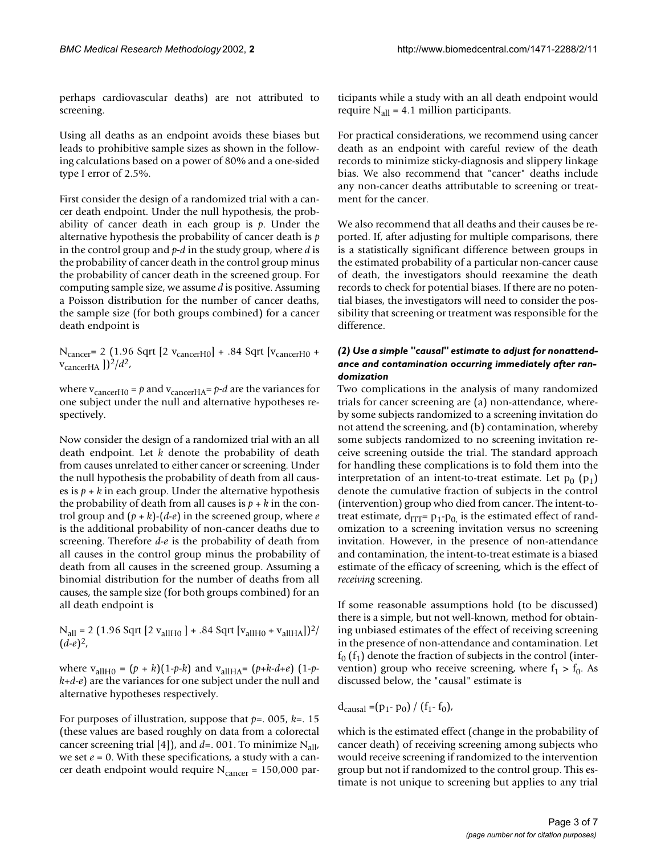perhaps cardiovascular deaths) are not attributed to screening.

Using all deaths as an endpoint avoids these biases but leads to prohibitive sample sizes as shown in the following calculations based on a power of 80% and a one-sided type I error of 2.5%.

First consider the design of a randomized trial with a cancer death endpoint. Under the null hypothesis, the probability of cancer death in each group is *p*. Under the alternative hypothesis the probability of cancer death is *p* in the control group and *p-d* in the study group, where *d* is the probability of cancer death in the control group minus the probability of cancer death in the screened group. For computing sample size, we assume *d* is positive. Assuming a Poisson distribution for the number of cancer deaths, the sample size (for both groups combined) for a cancer death endpoint is

 $N_{\text{cancer}}$ = 2 (1.96 Sqrt [2  $v_{\text{cancerH0}}$ ] + .84 Sqrt [ $v_{\text{cancerH0}}$  +  $v_{\text{cancerHA}}$ ] $)^2/d^2$ ,

where  $v_{\text{cancerH0}} = p$  and  $v_{\text{cancerHA}} = p-d$  are the variances for one subject under the null and alternative hypotheses respectively.

Now consider the design of a randomized trial with an all death endpoint. Let *k* denote the probability of death from causes unrelated to either cancer or screening. Under the null hypothesis the probability of death from all causes is  $p + k$  in each group. Under the alternative hypothesis the probability of death from all causes is  $p + k$  in the control group and  $(p + k)$ - $(d-e)$  in the screened group, where *e* is the additional probability of non-cancer deaths due to screening. Therefore *d*-*e* is the probability of death from all causes in the control group minus the probability of death from all causes in the screened group. Assuming a binomial distribution for the number of deaths from all causes, the sample size (for both groups combined) for an all death endpoint is

 $N_{\text{all}} = 2 (1.96 Sqrt [2 v_{\text{allHO}}] + .84 Sqrt [v_{\text{allHO}} + v_{\text{allHA}}])^{2}/$  $(d-e)^2$ ,

where  $v_{allH0} = (p + k)(1-p-k)$  and  $v_{allHA} = (p+k-d+e)(1-p-k)$ *k*+*d*-*e*) are the variances for one subject under the null and alternative hypotheses respectively.

For purposes of illustration, suppose that *p*=. 005, *k*=. 15 (these values are based roughly on data from a colorectal cancer screening trial [4]), and  $d=$ . 001. To minimize N<sub>all</sub>, we set  $e = 0$ . With these specifications, a study with a cancer death endpoint would require  $N_{\text{cancer}} = 150,000 \text{ par-}$  ticipants while a study with an all death endpoint would require  $N_{all} = 4.1$  million participants.

For practical considerations, we recommend using cancer death as an endpoint with careful review of the death records to minimize sticky-diagnosis and slippery linkage bias. We also recommend that "cancer" deaths include any non-cancer deaths attributable to screening or treatment for the cancer.

We also recommend that all deaths and their causes be reported. If, after adjusting for multiple comparisons, there is a statistically significant difference between groups in the estimated probability of a particular non-cancer cause of death, the investigators should reexamine the death records to check for potential biases. If there are no potential biases, the investigators will need to consider the possibility that screening or treatment was responsible for the difference.

#### *(2) Use a simple "causal" estimate to adjust for nonattendance and contamination occurring immediately after randomization*

Two complications in the analysis of many randomized trials for cancer screening are (a) non-attendance, whereby some subjects randomized to a screening invitation do not attend the screening, and (b) contamination, whereby some subjects randomized to no screening invitation receive screening outside the trial. The standard approach for handling these complications is to fold them into the interpretation of an intent-to-treat estimate. Let  $p_0$  ( $p_1$ ) denote the cumulative fraction of subjects in the control (intervention) group who died from cancer. The intent-totreat estimate,  $d_{TT} = p_1 - p_0$  is the estimated effect of randomization to a screening invitation versus no screening invitation. However, in the presence of non-attendance and contamination, the intent-to-treat estimate is a biased estimate of the efficacy of screening, which is the effect of *receiving* screening.

If some reasonable assumptions hold (to be discussed) there is a simple, but not well-known, method for obtaining unbiased estimates of the effect of receiving screening in the presence of non-attendance and contamination. Let  $f_0(f_1)$  denote the fraction of subjects in the control (intervention) group who receive screening, where  $f_1 > f_0$ . As discussed below, the "causal" estimate is

 $d_{causal} = (p_1 - p_0) / (f_1 - f_0)$ 

which is the estimated effect (change in the probability of cancer death) of receiving screening among subjects who would receive screening if randomized to the intervention group but not if randomized to the control group. This estimate is not unique to screening but applies to any trial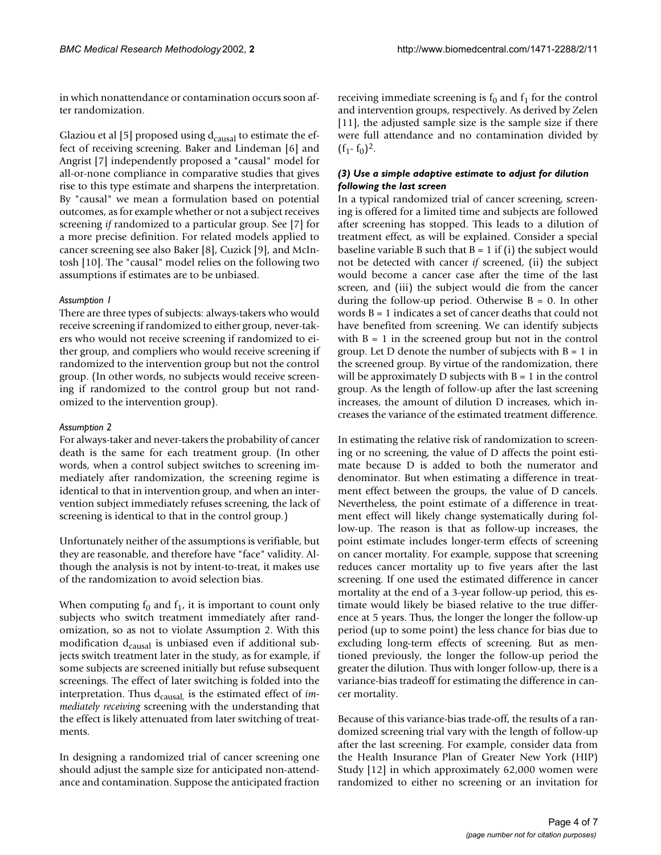in which nonattendance or contamination occurs soon after randomization.

Glaziou et al [5] proposed using  $d_{causal}$  to estimate the effect of receiving screening. Baker and Lindeman [6] and Angrist [7] independently proposed a "causal" model for all-or-none compliance in comparative studies that gives rise to this type estimate and sharpens the interpretation. By "causal" we mean a formulation based on potential outcomes, as for example whether or not a subject receives screening *if* randomized to a particular group. See [7] for a more precise definition. For related models applied to cancer screening see also Baker [8], Cuzick [9], and McIntosh [10]. The "causal" model relies on the following two assumptions if estimates are to be unbiased.

#### *Assumption 1*

There are three types of subjects: always-takers who would receive screening if randomized to either group, never-takers who would not receive screening if randomized to either group, and compliers who would receive screening if randomized to the intervention group but not the control group. (In other words, no subjects would receive screening if randomized to the control group but not randomized to the intervention group).

#### *Assumption 2*

For always-taker and never-takers the probability of cancer death is the same for each treatment group. (In other words, when a control subject switches to screening immediately after randomization, the screening regime is identical to that in intervention group, and when an intervention subject immediately refuses screening, the lack of screening is identical to that in the control group.)

Unfortunately neither of the assumptions is verifiable, but they are reasonable, and therefore have "face" validity. Although the analysis is not by intent-to-treat, it makes use of the randomization to avoid selection bias.

When computing  $f_0$  and  $f_1$ , it is important to count only subjects who switch treatment immediately after randomization, so as not to violate Assumption 2. With this modification d<sub>causal</sub> is unbiased even if additional subjects switch treatment later in the study, as for example, if some subjects are screened initially but refuse subsequent screenings. The effect of later switching is folded into the interpretation. Thus d<sub>causal</sub> is the estimated effect of *immediately receiving* screening with the understanding that the effect is likely attenuated from later switching of treatments.

In designing a randomized trial of cancer screening one should adjust the sample size for anticipated non-attendance and contamination. Suppose the anticipated fraction

receiving immediate screening is  $f_0$  and  $f_1$  for the control and intervention groups, respectively. As derived by Zelen [11], the adjusted sample size is the sample size if there were full attendance and no contamination divided by  $(f_1 - f_0)^2$ .

#### *(3) Use a simple adaptive estimate to adjust for dilution following the last screen*

In a typical randomized trial of cancer screening, screening is offered for a limited time and subjects are followed after screening has stopped. This leads to a dilution of treatment effect, as will be explained. Consider a special baseline variable B such that  $B = 1$  if (i) the subject would not be detected with cancer *if* screened, (ii) the subject would become a cancer case after the time of the last screen, and (iii) the subject would die from the cancer during the follow-up period. Otherwise  $B = 0$ . In other words B = 1 indicates a set of cancer deaths that could not have benefited from screening. We can identify subjects with  $B = 1$  in the screened group but not in the control group. Let D denote the number of subjects with  $B = 1$  in the screened group. By virtue of the randomization, there will be approximately D subjects with  $B = 1$  in the control group. As the length of follow-up after the last screening increases, the amount of dilution D increases, which increases the variance of the estimated treatment difference.

In estimating the relative risk of randomization to screening or no screening, the value of D affects the point estimate because D is added to both the numerator and denominator. But when estimating a difference in treatment effect between the groups, the value of D cancels. Nevertheless, the point estimate of a difference in treatment effect will likely change systematically during follow-up. The reason is that as follow-up increases, the point estimate includes longer-term effects of screening on cancer mortality. For example, suppose that screening reduces cancer mortality up to five years after the last screening. If one used the estimated difference in cancer mortality at the end of a 3-year follow-up period, this estimate would likely be biased relative to the true difference at 5 years. Thus, the longer the longer the follow-up period (up to some point) the less chance for bias due to excluding long-term effects of screening. But as mentioned previously, the longer the follow-up period the greater the dilution. Thus with longer follow-up, there is a variance-bias tradeoff for estimating the difference in cancer mortality.

Because of this variance-bias trade-off, the results of a randomized screening trial vary with the length of follow-up after the last screening. For example, consider data from the Health Insurance Plan of Greater New York (HIP) Study [12] in which approximately 62,000 women were randomized to either no screening or an invitation for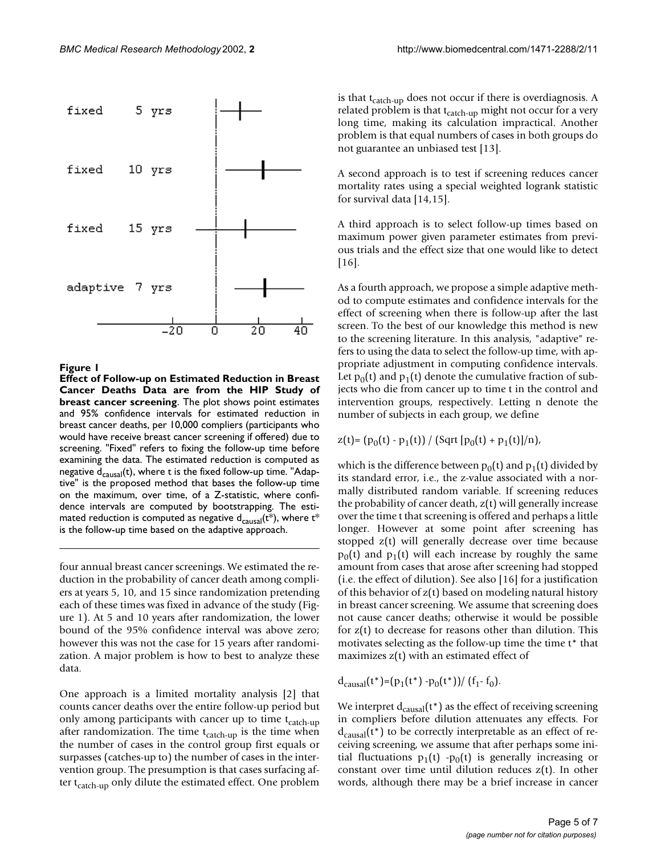

#### **Figure 1**

**Effect of Follow-up on Estimated Reduction in Breast Cancer Deaths Data are from the HIP Study of breast cancer screening**. The plot shows point estimates and 95% confidence intervals for estimated reduction in breast cancer deaths, per 10,000 compliers (participants who would have receive breast cancer screening if offered) due to screening. "Fixed" refers to fixing the follow-up time before examining the data. The estimated reduction is computed as negative  $d_{causal}(t)$ , where t is the fixed follow-up time. "Adaptive" is the proposed method that bases the follow-up time on the maximum, over time, of a Z-statistic, where confidence intervals are computed by bootstrapping. The estimated reduction is computed as negative  $d_{causal}(t^*)$ , where  $t^*$ is the follow-up time based on the adaptive approach.

four annual breast cancer screenings. We estimated the reduction in the probability of cancer death among compliers at years 5, 10, and 15 since randomization pretending each of these times was fixed in advance of the study (Figure 1). At 5 and 10 years after randomization, the lower bound of the 95% confidence interval was above zero; however this was not the case for 15 years after randomization. A major problem is how to best to analyze these data.

One approach is a limited mortality analysis [2] that counts cancer deaths over the entire follow-up period but only among participants with cancer up to time  $t_{\text{catch-up}}$ after randomization. The time  $t_{\text{catch-up}}$  is the time when the number of cases in the control group first equals or surpasses (catches-up to) the number of cases in the intervention group. The presumption is that cases surfacing after  $t_{\text{catch-up}}$  only dilute the estimated effect. One problem

is that  $t_{\text{catch-up}}$  does not occur if there is overdiagnosis. A related problem is that t<sub>catch-up</sub> might not occur for a very long time, making its calculation impractical. Another problem is that equal numbers of cases in both groups do not guarantee an unbiased test [13].

A second approach is to test if screening reduces cancer mortality rates using a special weighted logrank statistic for survival data [14,15].

A third approach is to select follow-up times based on maximum power given parameter estimates from previous trials and the effect size that one would like to detect [16].

As a fourth approach, we propose a simple adaptive method to compute estimates and confidence intervals for the effect of screening when there is follow-up after the last screen. To the best of our knowledge this method is new to the screening literature. In this analysis, "adaptive" refers to using the data to select the follow-up time, with appropriate adjustment in computing confidence intervals. Let  $p_0(t)$  and  $p_1(t)$  denote the cumulative fraction of subjects who die from cancer up to time t in the control and intervention groups, respectively. Letting n denote the number of subjects in each group, we define

 $z(t) = (p_0(t) - p_1(t)) / (Sqrt [p_0(t) + p_1(t)]/n),$ 

which is the difference between  $p_0(t)$  and  $p_1(t)$  divided by its standard error, i.e., the z-value associated with a normally distributed random variable. If screening reduces the probability of cancer death,  $z(t)$  will generally increase over the time t that screening is offered and perhaps a little longer. However at some point after screening has stopped z(t) will generally decrease over time because  $p_0(t)$  and  $p_1(t)$  will each increase by roughly the same amount from cases that arose after screening had stopped (i.e. the effect of dilution). See also [16] for a justification of this behavior of  $z(t)$  based on modeling natural history in breast cancer screening. We assume that screening does not cause cancer deaths; otherwise it would be possible for  $z(t)$  to decrease for reasons other than dilution. This motivates selecting as the follow-up time the time t\* that maximizes  $z(t)$  with an estimated effect of

$$
d_{causal}(t^*) = (p_1(t^*) \cdot p_0(t^*)) / (f_1 \cdot f_0).
$$

We interpret  $d_{causal}(t^*)$  as the effect of receiving screening in compliers before dilution attenuates any effects. For  $d_{causal}(t^*)$  to be correctly interpretable as an effect of receiving screening, we assume that after perhaps some initial fluctuations  $p_1(t)$  - $p_0(t)$  is generally increasing or constant over time until dilution reduces z(t). In other words, although there may be a brief increase in cancer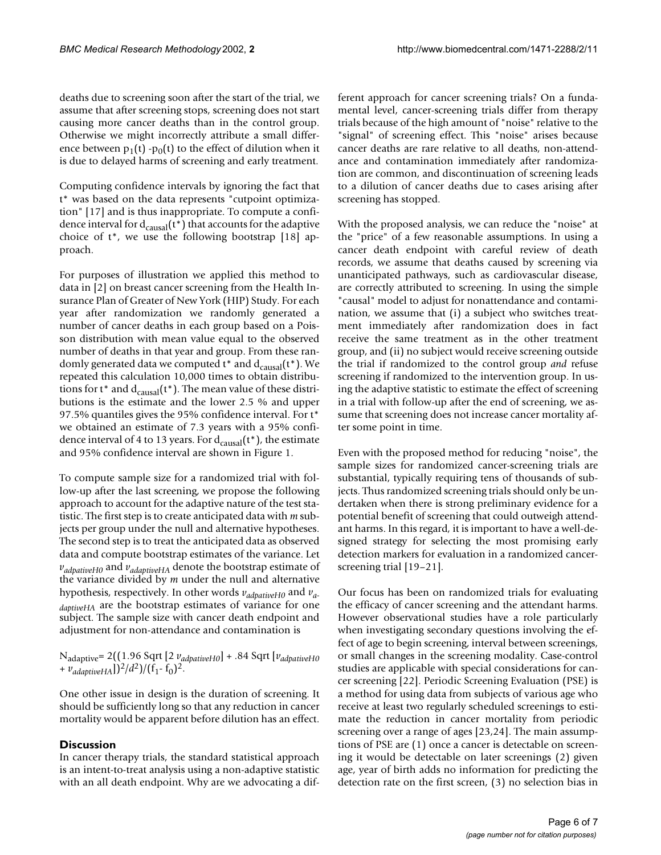deaths due to screening soon after the start of the trial, we assume that after screening stops, screening does not start causing more cancer deaths than in the control group. Otherwise we might incorrectly attribute a small difference between  $p_1(t)$  - $p_0(t)$  to the effect of dilution when it is due to delayed harms of screening and early treatment.

Computing confidence intervals by ignoring the fact that t\* was based on the data represents "cutpoint optimization" [17] and is thus inappropriate. To compute a confidence interval for  $d_{causal}(t^*)$  that accounts for the adaptive choice of t\*, we use the following bootstrap [18] approach.

For purposes of illustration we applied this method to data in [2] on breast cancer screening from the Health Insurance Plan of Greater of New York (HIP) Study. For each year after randomization we randomly generated a number of cancer deaths in each group based on a Poisson distribution with mean value equal to the observed number of deaths in that year and group. From these randomly generated data we computed t\* and  $d_{causal}(t^*)$ . We repeated this calculation 10,000 times to obtain distributions for t\* and  $d_{causal}(t^*)$ . The mean value of these distributions is the estimate and the lower 2.5 % and upper 97.5% quantiles gives the 95% confidence interval. For t\* we obtained an estimate of 7.3 years with a 95% confidence interval of 4 to 13 years. For  $d_{causal}(t^*)$ , the estimate and 95% confidence interval are shown in Figure 1.

To compute sample size for a randomized trial with follow-up after the last screening, we propose the following approach to account for the adaptive nature of the test statistic. The first step is to create anticipated data with *m* subjects per group under the null and alternative hypotheses. The second step is to treat the anticipated data as observed data and compute bootstrap estimates of the variance. Let *vadpativeH0* and *vadaptiveHA* denote the bootstrap estimate of the variance divided by *m* under the null and alternative hypothesis, respectively. In other words *vadpativeH0* and *vadaptiveHA* are the bootstrap estimates of variance for one subject. The sample size with cancer death endpoint and adjustment for non-attendance and contamination is

Nadaptive= 2((1.96 Sqrt [2 *vadpativeH0*] + .84 Sqrt [*vadpativeH0* +  $v_{adaptiveHA}$ ])<sup>2</sup>/d<sup>2</sup>)/(f<sub>1</sub>-f<sub>0</sub>)<sup>2</sup>.

One other issue in design is the duration of screening. It should be sufficiently long so that any reduction in cancer mortality would be apparent before dilution has an effect.

#### **Discussion**

In cancer therapy trials, the standard statistical approach is an intent-to-treat analysis using a non-adaptive statistic with an all death endpoint. Why are we advocating a different approach for cancer screening trials? On a fundamental level, cancer-screening trials differ from therapy trials because of the high amount of "noise" relative to the "signal" of screening effect. This "noise" arises because cancer deaths are rare relative to all deaths, non-attendance and contamination immediately after randomization are common, and discontinuation of screening leads to a dilution of cancer deaths due to cases arising after screening has stopped.

With the proposed analysis, we can reduce the "noise" at the "price" of a few reasonable assumptions. In using a cancer death endpoint with careful review of death records, we assume that deaths caused by screening via unanticipated pathways, such as cardiovascular disease, are correctly attributed to screening. In using the simple "causal" model to adjust for nonattendance and contamination, we assume that (i) a subject who switches treatment immediately after randomization does in fact receive the same treatment as in the other treatment group, and (ii) no subject would receive screening outside the trial if randomized to the control group *and* refuse screening if randomized to the intervention group. In using the adaptive statistic to estimate the effect of screening in a trial with follow-up after the end of screening, we assume that screening does not increase cancer mortality after some point in time.

Even with the proposed method for reducing "noise", the sample sizes for randomized cancer-screening trials are substantial, typically requiring tens of thousands of subjects. Thus randomized screening trials should only be undertaken when there is strong preliminary evidence for a potential benefit of screening that could outweigh attendant harms. In this regard, it is important to have a well-designed strategy for selecting the most promising early detection markers for evaluation in a randomized cancerscreening trial [19–21].

Our focus has been on randomized trials for evaluating the efficacy of cancer screening and the attendant harms. However observational studies have a role particularly when investigating secondary questions involving the effect of age to begin screening, interval between screenings, or small changes in the screening modality. Case-control studies are applicable with special considerations for cancer screening [22]. Periodic Screening Evaluation (PSE) is a method for using data from subjects of various age who receive at least two regularly scheduled screenings to estimate the reduction in cancer mortality from periodic screening over a range of ages [23,24]. The main assumptions of PSE are (1) once a cancer is detectable on screening it would be detectable on later screenings (2) given age, year of birth adds no information for predicting the detection rate on the first screen, (3) no selection bias in